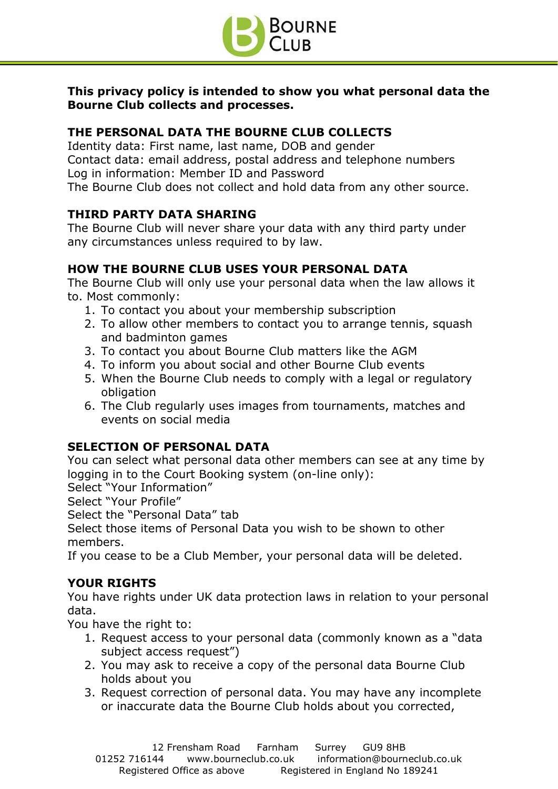

**This privacy policy is intended to show you what personal data the Bourne Club collects and processes.**

## **THE PERSONAL DATA THE BOURNE CLUB COLLECTS**

Identity data: First name, last name, DOB and gender Contact data: email address, postal address and telephone numbers Log in information: Member ID and Password The Bourne Club does not collect and hold data from any other source.

# **THIRD PARTY DATA SHARING**

The Bourne Club will never share your data with any third party under any circumstances unless required to by law.

## **HOW THE BOURNE CLUB USES YOUR PERSONAL DATA**

The Bourne Club will only use your personal data when the law allows it to. Most commonly:

- 1. To contact you about your membership subscription
- 2. To allow other members to contact you to arrange tennis, squash and badminton games
- 3. To contact you about Bourne Club matters like the AGM
- 4. To inform you about social and other Bourne Club events
- 5. When the Bourne Club needs to comply with a legal or regulatory obligation
- 6. The Club regularly uses images from tournaments, matches and events on social media

## **SELECTION OF PERSONAL DATA**

You can select what personal data other members can see at any time by logging in to the Court Booking system (on-line only):

Select "Your Information"

Select "Your Profile"

Select the "Personal Data" tab

Select those items of Personal Data you wish to be shown to other members.

If you cease to be a Club Member, your personal data will be deleted.

## **YOUR RIGHTS**

You have rights under UK data protection laws in relation to your personal data.

You have the right to:

- 1. Request access to your personal data (commonly known as a "data subject access request")
- 2. You may ask to receive a copy of the personal data Bourne Club holds about you
- 3. Request correction of personal data. You may have any incomplete or inaccurate data the Bourne Club holds about you corrected,